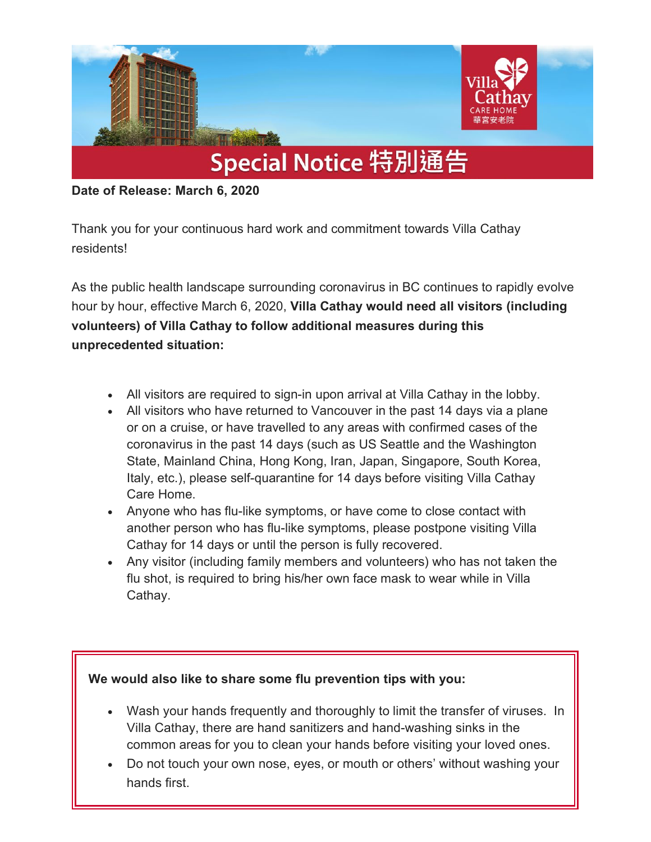

**Date of Release: March 6, 2020** 

Thank you for your continuous hard work and commitment towards Villa Cathay residents!

As the public health landscape surrounding coronavirus in BC continues to rapidly evolve hour by hour, effective March 6, 2020, **Villa Cathay would need all visitors (including volunteers) of Villa Cathay to follow additional measures during this unprecedented situation:**

- All visitors are required to sign-in upon arrival at Villa Cathay in the lobby.
- All visitors who have returned to Vancouver in the past 14 days via a plane or on a cruise, or have travelled to any areas with confirmed cases of the coronavirus in the past 14 days (such as US Seattle and the Washington State, Mainland China, Hong Kong, Iran, Japan, Singapore, South Korea, Italy, etc.), please self-quarantine for 14 days before visiting Villa Cathay Care Home.
- Anyone who has flu-like symptoms, or have come to close contact with another person who has flu-like symptoms, please postpone visiting Villa Cathay for 14 days or until the person is fully recovered.
- Any visitor (including family members and volunteers) who has not taken the flu shot, is required to bring his/her own face mask to wear while in Villa Cathay.

**We would also like to share some flu prevention tips with you:**

- Wash your hands frequently and thoroughly to limit the transfer of viruses. In Villa Cathay, there are hand sanitizers and hand-washing sinks in the common areas for you to clean your hands before visiting your loved ones.
- Do not touch your own nose, eyes, or mouth or others' without washing your hands first.